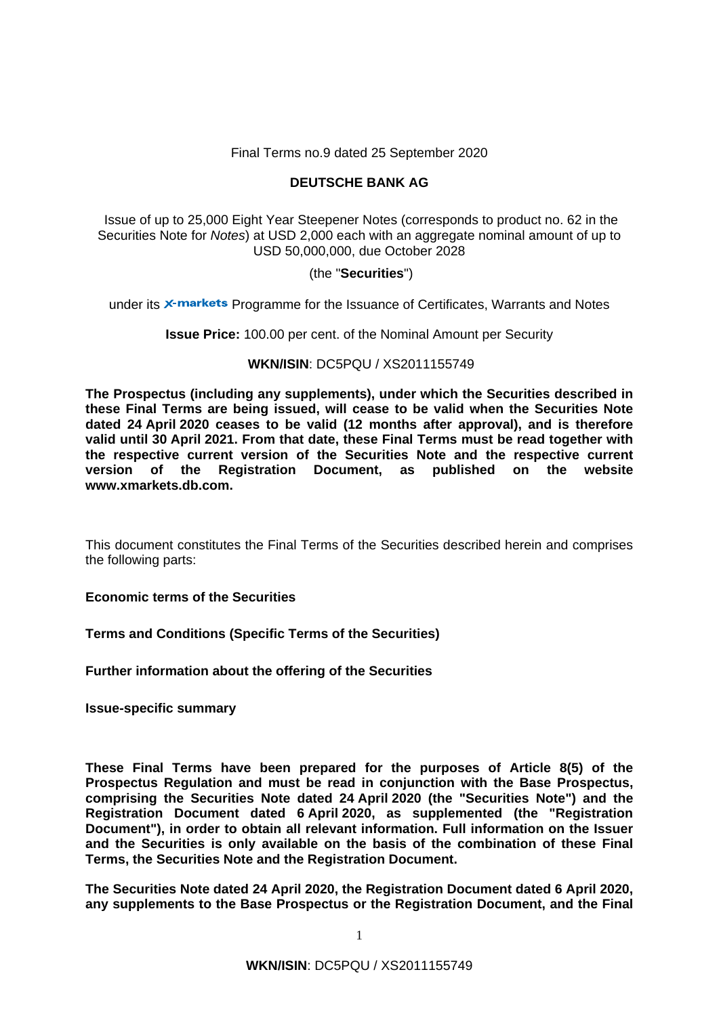## Final Terms no.9 dated 25 September 2020

# **DEUTSCHE BANK AG**

 Issue of up to 25,000 Eight Year Steepener Notes (corresponds to product no. 62 in the Securities Note for *Notes*) at USD 2,000 each with an aggregate nominal amount of up to USD 50,000,000, due October 2028

## (the "**Securities**")

under its  $\times$ -markets Programme for the Issuance of Certificates, Warrants and Notes

**Issue Price:** 100.00 per cent. of the Nominal Amount per Security

## **WKN/ISIN**: DC5PQU / XS2011155749

**The Prospectus (including any supplements), under which the Securities described in these Final Terms are being issued, will cease to be valid when the Securities Note dated 24 April 2020 ceases to be valid (12 months after approval), and is therefore valid until 30 April 2021. From that date, these Final Terms must be read together with the respective current version of the Securities Note and the respective current version of the Registration Document, as published on the website www.xmarkets.db.com.** 

This document constitutes the Final Terms of the Securities described herein and comprises the following parts:

**Economic terms of the Securities**

**Terms and Conditions (Specific Terms of the Securities)**

**Further information about the offering of the Securities** 

**Issue-specific summary** 

**These Final Terms have been prepared for the purposes of Article 8(5) of the Prospectus Regulation and must be read in conjunction with the Base Prospectus, comprising the Securities Note dated 24 April 2020 (the "Securities Note") and the Registration Document dated 6 April 2020, as supplemented (the "Registration Document"), in order to obtain all relevant information. Full information on the Issuer and the Securities is only available on the basis of the combination of these Final Terms, the Securities Note and the Registration Document.** 

**The Securities Note dated 24 April 2020, the Registration Document dated 6 April 2020, any supplements to the Base Prospectus or the Registration Document, and the Final**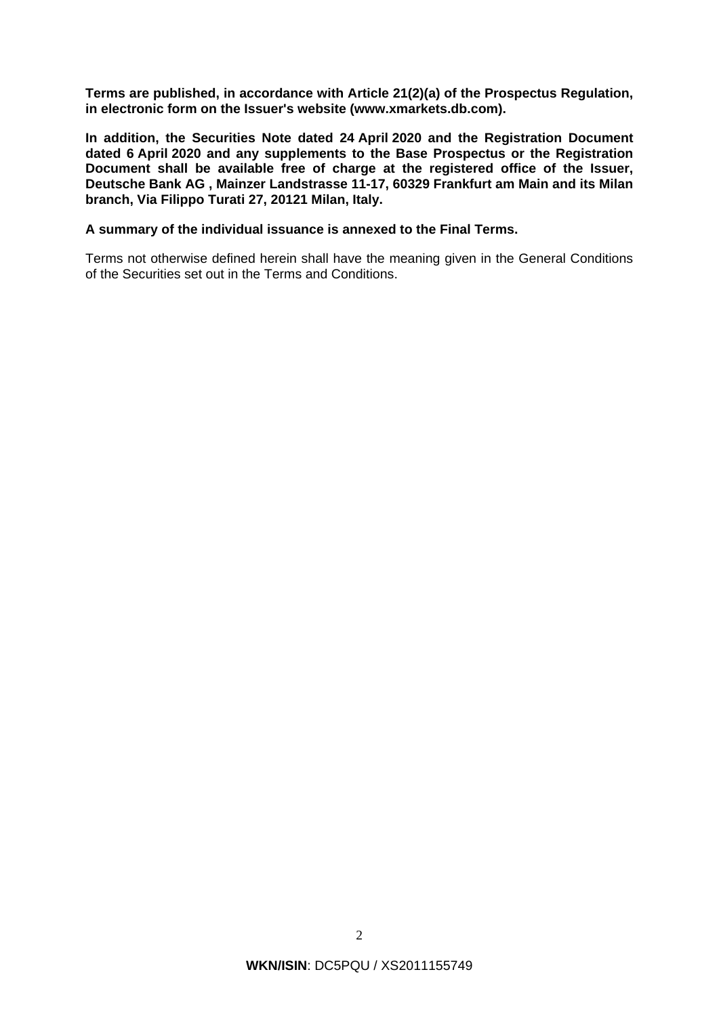**Terms are published, in accordance with Article 21(2)(a) of the Prospectus Regulation, in electronic form on the Issuer's website (www.xmarkets.db.com).**

**In addition, the Securities Note dated 24 April 2020 and the Registration Document dated 6 April 2020 and any supplements to the Base Prospectus or the Registration Document shall be available free of charge at the registered office of the Issuer, Deutsche Bank AG , Mainzer Landstrasse 11-17, 60329 Frankfurt am Main and its Milan branch, Via Filippo Turati 27, 20121 Milan, Italy.** 

### **A summary of the individual issuance is annexed to the Final Terms.**

Terms not otherwise defined herein shall have the meaning given in the General Conditions of the Securities set out in the Terms and Conditions.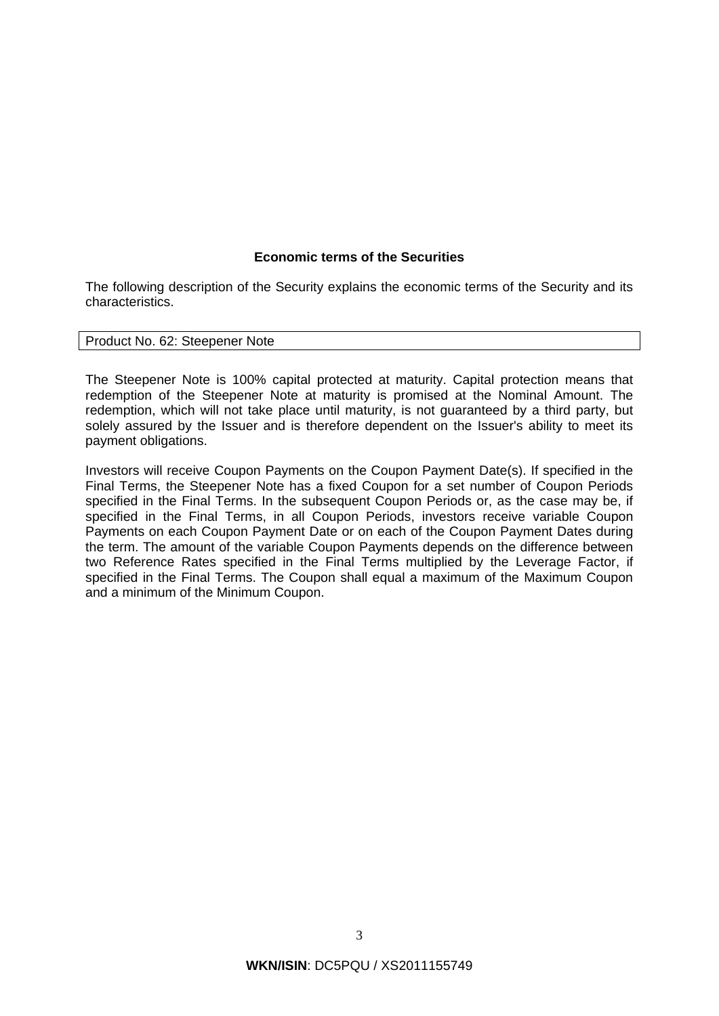## **Economic terms of the Securities**

The following description of the Security explains the economic terms of the Security and its characteristics.

### Product No. 62: Steepener Note

The Steepener Note is 100% capital protected at maturity. Capital protection means that redemption of the Steepener Note at maturity is promised at the Nominal Amount. The redemption, which will not take place until maturity, is not guaranteed by a third party, but solely assured by the Issuer and is therefore dependent on the Issuer's ability to meet its payment obligations.

Investors will receive Coupon Payments on the Coupon Payment Date(s). If specified in the Final Terms, the Steepener Note has a fixed Coupon for a set number of Coupon Periods specified in the Final Terms. In the subsequent Coupon Periods or, as the case may be, if specified in the Final Terms, in all Coupon Periods, investors receive variable Coupon Payments on each Coupon Payment Date or on each of the Coupon Payment Dates during the term. The amount of the variable Coupon Payments depends on the difference between two Reference Rates specified in the Final Terms multiplied by the Leverage Factor, if specified in the Final Terms. The Coupon shall equal a maximum of the Maximum Coupon and a minimum of the Minimum Coupon.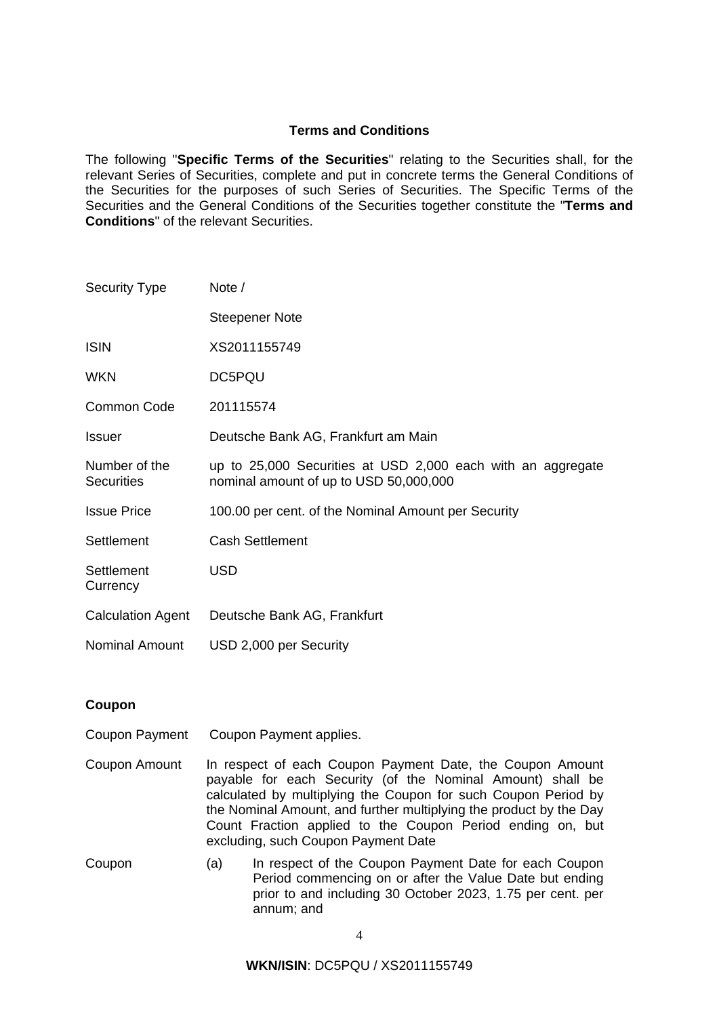## **Terms and Conditions**

The following "**Specific Terms of the Securities**" relating to the Securities shall, for the relevant Series of Securities, complete and put in concrete terms the General Conditions of the Securities for the purposes of such Series of Securities. The Specific Terms of the Securities and the General Conditions of the Securities together constitute the "**Terms and Conditions**" of the relevant Securities.

| <b>Security Type</b>               | Note /                                                                                                |
|------------------------------------|-------------------------------------------------------------------------------------------------------|
|                                    | <b>Steepener Note</b>                                                                                 |
| <b>ISIN</b>                        | XS2011155749                                                                                          |
| <b>WKN</b>                         | DC5PQU                                                                                                |
| <b>Common Code</b>                 | 201115574                                                                                             |
| <b>Issuer</b>                      | Deutsche Bank AG, Frankfurt am Main                                                                   |
| Number of the<br><b>Securities</b> | up to 25,000 Securities at USD 2,000 each with an aggregate<br>nominal amount of up to USD 50,000,000 |
| <b>Issue Price</b>                 | 100.00 per cent. of the Nominal Amount per Security                                                   |
| Settlement                         | <b>Cash Settlement</b>                                                                                |
| Settlement<br>Currency             | <b>USD</b>                                                                                            |
| <b>Calculation Agent</b>           | Deutsche Bank AG, Frankfurt                                                                           |
| <b>Nominal Amount</b>              | USD 2,000 per Security                                                                                |

## **Coupon**

- Coupon Payment Coupon Payment applies.
- Coupon Amount In respect of each Coupon Payment Date, the Coupon Amount payable for each Security (of the Nominal Amount) shall be calculated by multiplying the Coupon for such Coupon Period by the Nominal Amount, and further multiplying the product by the Day Count Fraction applied to the Coupon Period ending on, but excluding, such Coupon Payment Date
- Coupon (a) In respect of the Coupon Payment Date for each Coupon Period commencing on or after the Value Date but ending prior to and including 30 October 2023, 1.75 per cent. per annum; and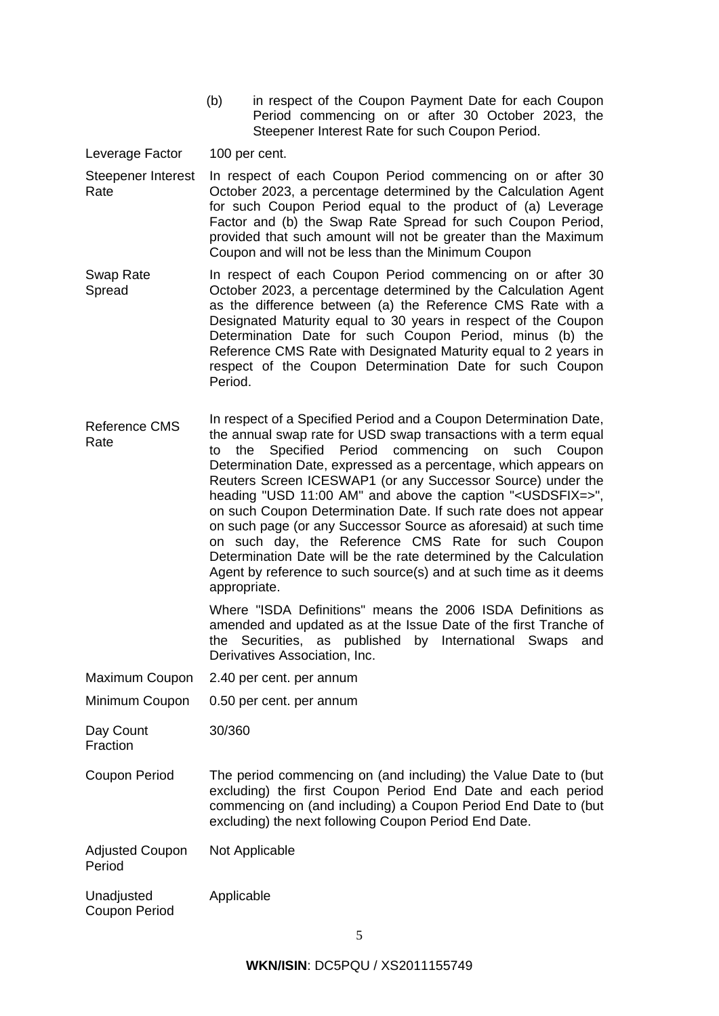(b) in respect of the Coupon Payment Date for each Coupon Period commencing on or after 30 October 2023, the Steepener Interest Rate for such Coupon Period.

Leverage Factor 100 per cent.

- Steepener Interest Rate In respect of each Coupon Period commencing on or after 30 October 2023, a percentage determined by the Calculation Agent for such Coupon Period equal to the product of (a) Leverage Factor and (b) the Swap Rate Spread for such Coupon Period, provided that such amount will not be greater than the Maximum Coupon and will not be less than the Minimum Coupon
- Swap Rate Spread In respect of each Coupon Period commencing on or after 30 October 2023, a percentage determined by the Calculation Agent as the difference between (a) the Reference CMS Rate with a Designated Maturity equal to 30 years in respect of the Coupon Determination Date for such Coupon Period, minus (b) the Reference CMS Rate with Designated Maturity equal to 2 years in respect of the Coupon Determination Date for such Coupon Period.
- Reference CMS Rate In respect of a Specified Period and a Coupon Determination Date, the annual swap rate for USD swap transactions with a term equal to the Specified Period commencing on such Coupon Determination Date, expressed as a percentage, which appears on Reuters Screen ICESWAP1 (or any Successor Source) under the heading "USD 11:00 AM" and above the caption "<USDSFIX=>", on such Coupon Determination Date. If such rate does not appear on such page (or any Successor Source as aforesaid) at such time on such day, the Reference CMS Rate for such Coupon Determination Date will be the rate determined by the Calculation Agent by reference to such source(s) and at such time as it deems appropriate.

Where "ISDA Definitions" means the 2006 ISDA Definitions as amended and updated as at the Issue Date of the first Tranche of the Securities, as published by International Swaps and Derivatives Association, Inc.

Maximum Coupon 2.40 per cent. per annum

## Minimum Coupon 0.50 per cent. per annum

Day Count 30/360

**Fraction** 

Coupon Period The period commencing on (and including) the Value Date to (but excluding) the first Coupon Period End Date and each period commencing on (and including) a Coupon Period End Date to (but excluding) the next following Coupon Period End Date.

Adjusted Coupon Period Not Applicable

Unadiusted Coupon Period Applicable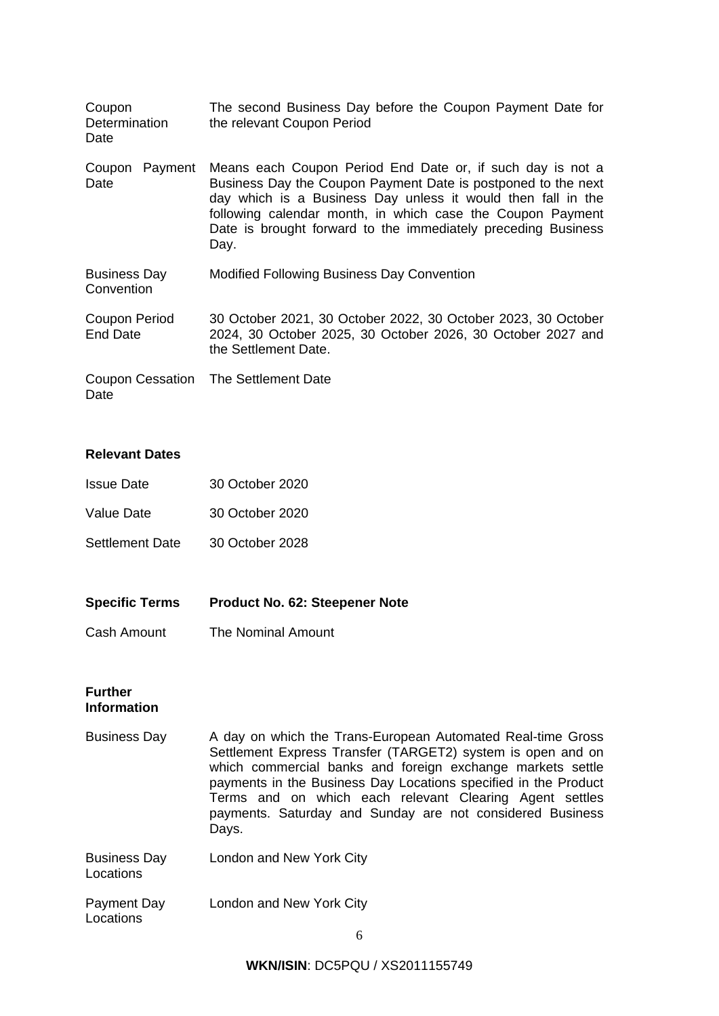| Coupon<br>Determination<br>Date   | The second Business Day before the Coupon Payment Date for<br>the relevant Coupon Period                                                                                                                                                                                                                                           |
|-----------------------------------|------------------------------------------------------------------------------------------------------------------------------------------------------------------------------------------------------------------------------------------------------------------------------------------------------------------------------------|
| Coupon Payment<br>Date            | Means each Coupon Period End Date or, if such day is not a<br>Business Day the Coupon Payment Date is postponed to the next<br>day which is a Business Day unless it would then fall in the<br>following calendar month, in which case the Coupon Payment<br>Date is brought forward to the immediately preceding Business<br>Day. |
| <b>Business Day</b><br>Convention | Modified Following Business Day Convention                                                                                                                                                                                                                                                                                         |
| Coupon Period<br>End Date         | 30 October 2021, 30 October 2022, 30 October 2023, 30 October<br>2024, 30 October 2025, 30 October 2026, 30 October 2027 and<br>the Settlement Date.                                                                                                                                                                               |
| Date                              | Coupon Cessation The Settlement Date                                                                                                                                                                                                                                                                                               |

## **Relevant Dates**

| <b>Issue Date</b>      | 30 October 2020 |
|------------------------|-----------------|
| Value Date             | 30 October 2020 |
| <b>Settlement Date</b> | 30 October 2028 |

- **Specific Terms Product No. 62: Steepener Note**
- Cash Amount The Nominal Amount

## **Further Information**

- Business Day A day on which the Trans-European Automated Real-time Gross Settlement Express Transfer (TARGET2) system is open and on which commercial banks and foreign exchange markets settle payments in the Business Day Locations specified in the Product Terms and on which each relevant Clearing Agent settles payments. Saturday and Sunday are not considered Business Days.
- Business Day Locations London and New York City
- Payment Day Locations London and New York City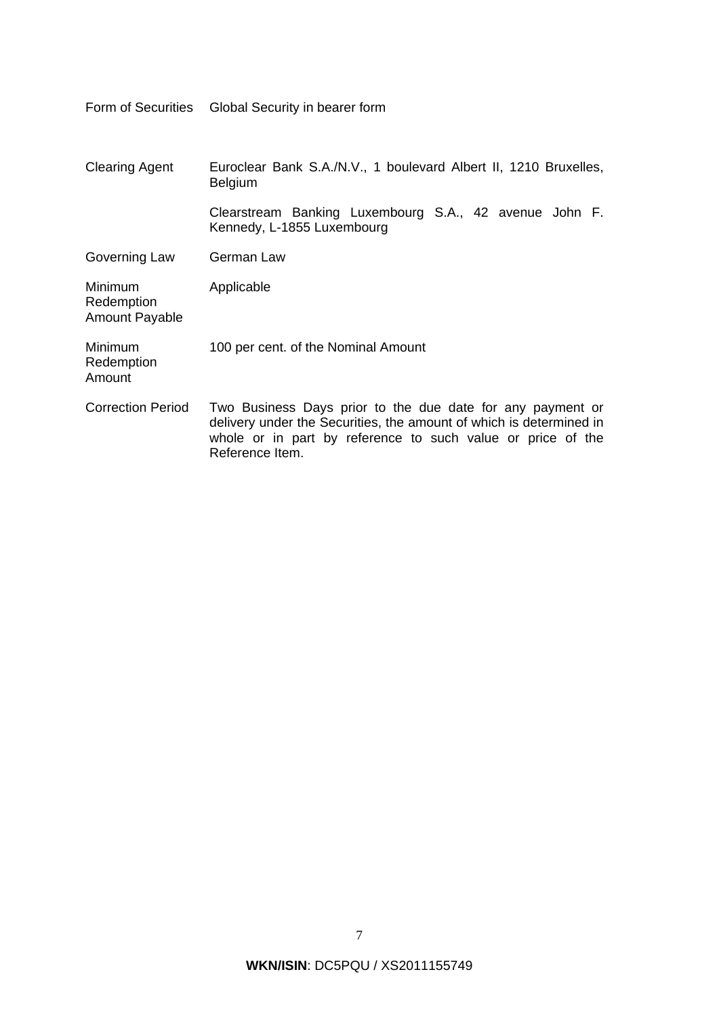|                                                | Form of Securities Global Security in bearer form                                                                                                                                                                   |
|------------------------------------------------|---------------------------------------------------------------------------------------------------------------------------------------------------------------------------------------------------------------------|
| <b>Clearing Agent</b>                          | Euroclear Bank S.A./N.V., 1 boulevard Albert II, 1210 Bruxelles,<br><b>Belgium</b>                                                                                                                                  |
|                                                | Clearstream Banking Luxembourg S.A., 42 avenue John F.<br>Kennedy, L-1855 Luxembourg                                                                                                                                |
| Governing Law                                  | German Law                                                                                                                                                                                                          |
| Minimum<br>Redemption<br><b>Amount Payable</b> | Applicable                                                                                                                                                                                                          |
| <b>Minimum</b><br>Redemption<br>Amount         | 100 per cent. of the Nominal Amount                                                                                                                                                                                 |
| <b>Correction Period</b>                       | Two Business Days prior to the due date for any payment or<br>delivery under the Securities, the amount of which is determined in<br>whole or in part by reference to such value or price of the<br>Reference Item. |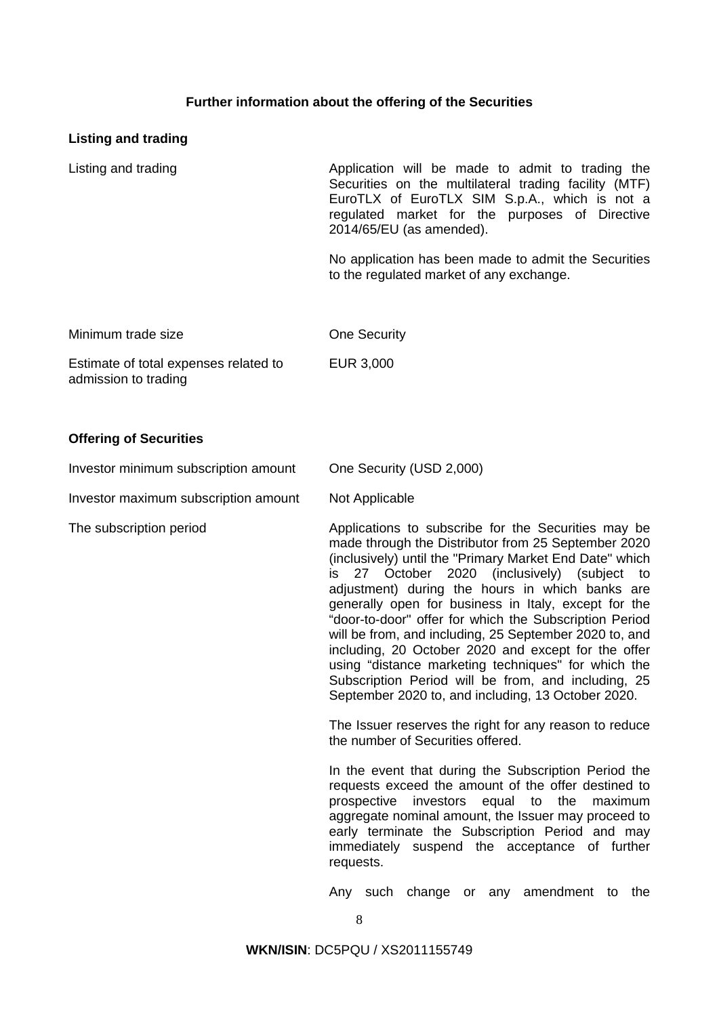## **Further information about the offering of the Securities**

## **Listing and trading**

Listing and trading **Application** will be made to admit to trading the Securities on the multilateral trading facility (MTF) EuroTLX of EuroTLX SIM S.p.A., which is not a regulated market for the purposes of Directive 2014/65/EU (as amended).

> No application has been made to admit the Securities to the regulated market of any exchange.

| Minimum trade size                                            | One Security |
|---------------------------------------------------------------|--------------|
| Estimate of total expenses related to<br>admission to trading | EUR 3,000    |

## **Offering of Securities**

| Investor minimum subscription amount | One Security (USD 2,000)                                                                                                                                                                                                                                                                                                                                                                                                                                                                                                                                                                                                                                                        |
|--------------------------------------|---------------------------------------------------------------------------------------------------------------------------------------------------------------------------------------------------------------------------------------------------------------------------------------------------------------------------------------------------------------------------------------------------------------------------------------------------------------------------------------------------------------------------------------------------------------------------------------------------------------------------------------------------------------------------------|
| Investor maximum subscription amount | Not Applicable                                                                                                                                                                                                                                                                                                                                                                                                                                                                                                                                                                                                                                                                  |
| The subscription period              | Applications to subscribe for the Securities may be<br>made through the Distributor from 25 September 2020<br>(inclusively) until the "Primary Market End Date" which<br>is 27 October 2020 (inclusively) (subject to<br>adjustment) during the hours in which banks are<br>generally open for business in Italy, except for the<br>"door-to-door" offer for which the Subscription Period<br>will be from, and including, 25 September 2020 to, and<br>including, 20 October 2020 and except for the offer<br>using "distance marketing techniques" for which the<br>Subscription Period will be from, and including, 25<br>September 2020 to, and including, 13 October 2020. |
|                                      | The Issuer reserves the right for any reason to reduce<br>the number of Securities offered.                                                                                                                                                                                                                                                                                                                                                                                                                                                                                                                                                                                     |
|                                      | In the event that during the Subscription Period the<br>requests exceed the amount of the offer destined to                                                                                                                                                                                                                                                                                                                                                                                                                                                                                                                                                                     |

requests exceed the amount of the offer destined to prospective investors equal to the maximum aggregate nominal amount, the Issuer may proceed to early terminate the Subscription Period and may immediately suspend the acceptance of further requests.

Any such change or any amendment to the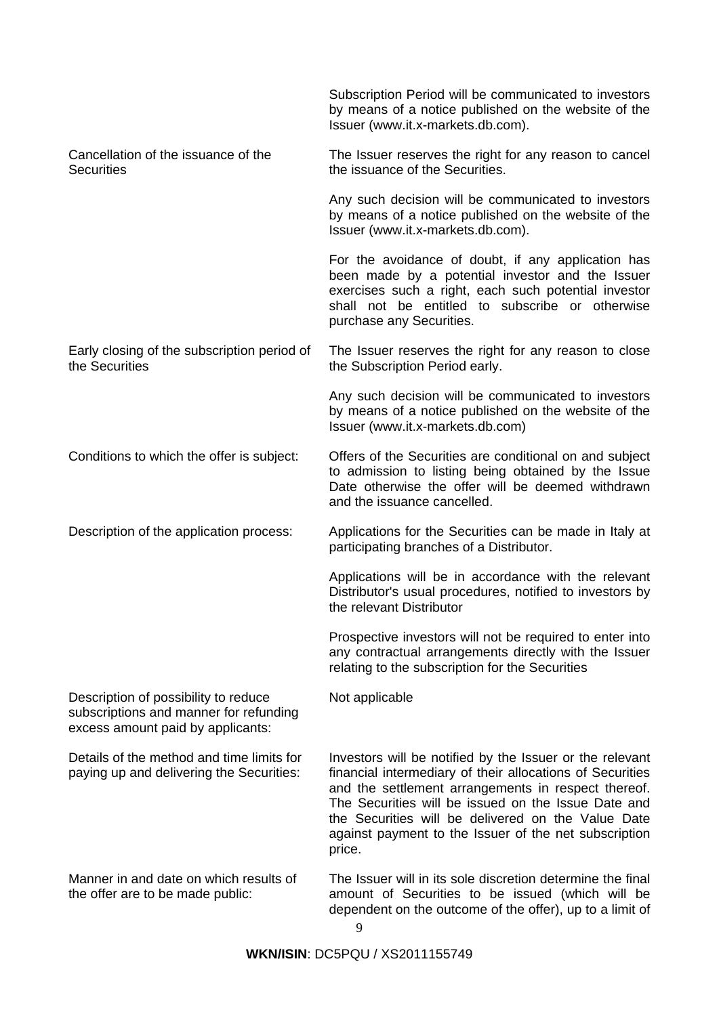|                                                                                                                     | Subscription Period will be communicated to investors<br>by means of a notice published on the website of the<br>Issuer (www.it.x-markets.db.com).                                                                                                                                                                                                           |
|---------------------------------------------------------------------------------------------------------------------|--------------------------------------------------------------------------------------------------------------------------------------------------------------------------------------------------------------------------------------------------------------------------------------------------------------------------------------------------------------|
| Cancellation of the issuance of the<br><b>Securities</b>                                                            | The Issuer reserves the right for any reason to cancel<br>the issuance of the Securities.                                                                                                                                                                                                                                                                    |
|                                                                                                                     | Any such decision will be communicated to investors<br>by means of a notice published on the website of the<br>Issuer (www.it.x-markets.db.com).                                                                                                                                                                                                             |
|                                                                                                                     | For the avoidance of doubt, if any application has<br>been made by a potential investor and the Issuer<br>exercises such a right, each such potential investor<br>shall not be entitled to subscribe or otherwise<br>purchase any Securities.                                                                                                                |
| Early closing of the subscription period of<br>the Securities                                                       | The Issuer reserves the right for any reason to close<br>the Subscription Period early.                                                                                                                                                                                                                                                                      |
|                                                                                                                     | Any such decision will be communicated to investors<br>by means of a notice published on the website of the<br>Issuer (www.it.x-markets.db.com)                                                                                                                                                                                                              |
| Conditions to which the offer is subject:                                                                           | Offers of the Securities are conditional on and subject<br>to admission to listing being obtained by the Issue<br>Date otherwise the offer will be deemed withdrawn<br>and the issuance cancelled.                                                                                                                                                           |
| Description of the application process:                                                                             | Applications for the Securities can be made in Italy at<br>participating branches of a Distributor.                                                                                                                                                                                                                                                          |
|                                                                                                                     | Applications will be in accordance with the relevant<br>Distributor's usual procedures, notified to investors by<br>the relevant Distributor                                                                                                                                                                                                                 |
|                                                                                                                     | Prospective investors will not be required to enter into<br>any contractual arrangements directly with the Issuer<br>relating to the subscription for the Securities                                                                                                                                                                                         |
| Description of possibility to reduce<br>subscriptions and manner for refunding<br>excess amount paid by applicants: | Not applicable                                                                                                                                                                                                                                                                                                                                               |
| Details of the method and time limits for<br>paying up and delivering the Securities:                               | Investors will be notified by the Issuer or the relevant<br>financial intermediary of their allocations of Securities<br>and the settlement arrangements in respect thereof.<br>The Securities will be issued on the Issue Date and<br>the Securities will be delivered on the Value Date<br>against payment to the Issuer of the net subscription<br>price. |
| Manner in and date on which results of<br>the offer are to be made public:                                          | The Issuer will in its sole discretion determine the final<br>amount of Securities to be issued (which will be<br>dependent on the outcome of the offer), up to a limit of                                                                                                                                                                                   |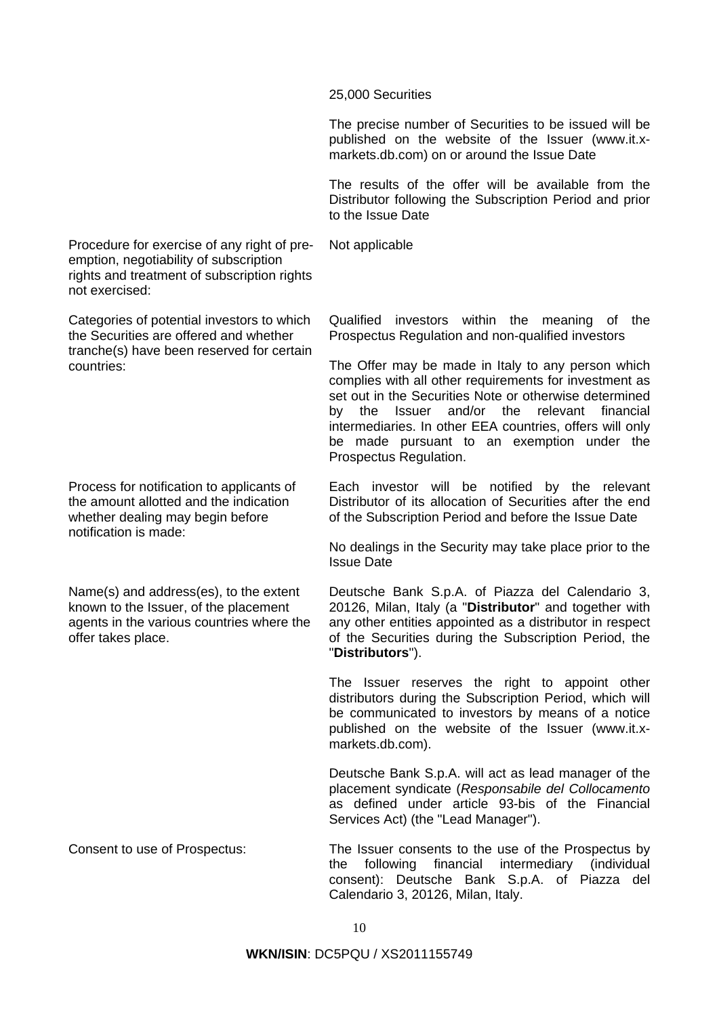25,000 Securities

The precise number of Securities to be issued will be published on the website of the Issuer (www.it.xmarkets.db.com) on or around the Issue Date

The results of the offer will be available from the Distributor following the Subscription Period and prior to the Issue Date

Not applicable

Procedure for exercise of any right of preemption, negotiability of subscription rights and treatment of subscription rights not exercised:

Categories of potential investors to which the Securities are offered and whether tranche(s) have been reserved for certain countries:

Process for notification to applicants of the amount allotted and the indication whether dealing may begin before notification is made:

Name(s) and address(es), to the extent known to the Issuer, of the placement agents in the various countries where the offer takes place.

Qualified investors within the meaning of the Prospectus Regulation and non-qualified investors

The Offer may be made in Italy to any person which complies with all other requirements for investment as set out in the Securities Note or otherwise determined by the Issuer and/or the relevant financial intermediaries. In other EEA countries, offers will only be made pursuant to an exemption under the Prospectus Regulation.

Each investor will be notified by the relevant Distributor of its allocation of Securities after the end of the Subscription Period and before the Issue Date

No dealings in the Security may take place prior to the Issue Date

Deutsche Bank S.p.A. of Piazza del Calendario 3, 20126, Milan, Italy (a "**Distributor**" and together with any other entities appointed as a distributor in respect of the Securities during the Subscription Period, the "**Distributors**").

The Issuer reserves the right to appoint other distributors during the Subscription Period, which will be communicated to investors by means of a notice published on the website of the Issuer (www.it.xmarkets.db.com).

Deutsche Bank S.p.A. will act as lead manager of the placement syndicate (*Responsabile del Collocamento*  as defined under article 93-bis of the Financial Services Act) (the "Lead Manager").

Consent to use of Prospectus: The Issuer consents to the use of the Prospectus by the following financial intermediary (individual consent): Deutsche Bank S.p.A. of Piazza del Calendario 3, 20126, Milan, Italy.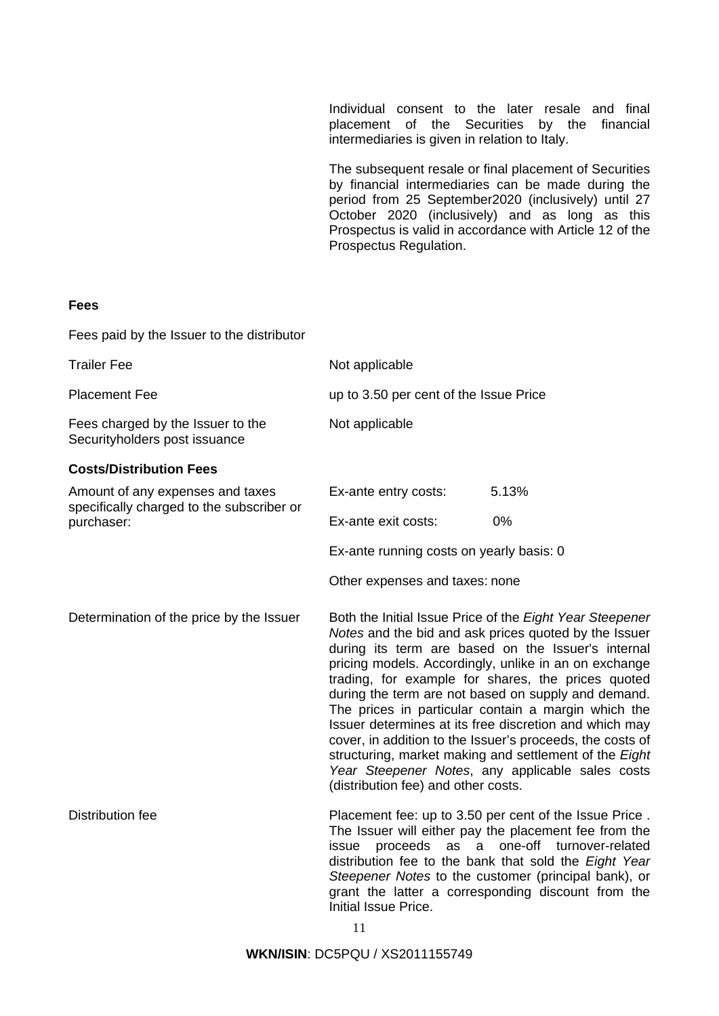Individual consent to the later resale and final placement of the Securities by the financial intermediaries is given in relation to Italy.

The subsequent resale or final placement of Securities by financial intermediaries can be made during the period from 25 September2020 (inclusively) until 27 October 2020 (inclusively) and as long as this Prospectus is valid in accordance with Article 12 of the Prospectus Regulation.

## **Fees**

| Fees paid by the Issuer to the distributor                                    |                                                                                                                                                                                                                                                                                                                                                                                                                                                                                                                                                                                                                                                                                  |                                                                                                                                                                                                                                                                                                                            |  |
|-------------------------------------------------------------------------------|----------------------------------------------------------------------------------------------------------------------------------------------------------------------------------------------------------------------------------------------------------------------------------------------------------------------------------------------------------------------------------------------------------------------------------------------------------------------------------------------------------------------------------------------------------------------------------------------------------------------------------------------------------------------------------|----------------------------------------------------------------------------------------------------------------------------------------------------------------------------------------------------------------------------------------------------------------------------------------------------------------------------|--|
| <b>Trailer Fee</b>                                                            | Not applicable                                                                                                                                                                                                                                                                                                                                                                                                                                                                                                                                                                                                                                                                   |                                                                                                                                                                                                                                                                                                                            |  |
| <b>Placement Fee</b>                                                          | up to 3.50 per cent of the Issue Price                                                                                                                                                                                                                                                                                                                                                                                                                                                                                                                                                                                                                                           |                                                                                                                                                                                                                                                                                                                            |  |
| Fees charged by the Issuer to the<br>Securityholders post issuance            | Not applicable                                                                                                                                                                                                                                                                                                                                                                                                                                                                                                                                                                                                                                                                   |                                                                                                                                                                                                                                                                                                                            |  |
| <b>Costs/Distribution Fees</b>                                                |                                                                                                                                                                                                                                                                                                                                                                                                                                                                                                                                                                                                                                                                                  |                                                                                                                                                                                                                                                                                                                            |  |
| Amount of any expenses and taxes<br>specifically charged to the subscriber or | Ex-ante entry costs:                                                                                                                                                                                                                                                                                                                                                                                                                                                                                                                                                                                                                                                             | 5.13%                                                                                                                                                                                                                                                                                                                      |  |
| purchaser:                                                                    | Ex-ante exit costs:                                                                                                                                                                                                                                                                                                                                                                                                                                                                                                                                                                                                                                                              | 0%                                                                                                                                                                                                                                                                                                                         |  |
|                                                                               | Ex-ante running costs on yearly basis: 0                                                                                                                                                                                                                                                                                                                                                                                                                                                                                                                                                                                                                                         |                                                                                                                                                                                                                                                                                                                            |  |
|                                                                               | Other expenses and taxes: none                                                                                                                                                                                                                                                                                                                                                                                                                                                                                                                                                                                                                                                   |                                                                                                                                                                                                                                                                                                                            |  |
| Determination of the price by the Issuer                                      | Both the Initial Issue Price of the Eight Year Steepener<br>Notes and the bid and ask prices quoted by the Issuer<br>during its term are based on the Issuer's internal<br>pricing models. Accordingly, unlike in an on exchange<br>trading, for example for shares, the prices quoted<br>during the term are not based on supply and demand.<br>The prices in particular contain a margin which the<br>Issuer determines at its free discretion and which may<br>cover, in addition to the Issuer's proceeds, the costs of<br>structuring, market making and settlement of the Eight<br>Year Steepener Notes, any applicable sales costs<br>(distribution fee) and other costs. |                                                                                                                                                                                                                                                                                                                            |  |
| <b>Distribution fee</b>                                                       | proceeds<br>issue<br>Initial Issue Price.                                                                                                                                                                                                                                                                                                                                                                                                                                                                                                                                                                                                                                        | Placement fee: up to 3.50 per cent of the Issue Price.<br>The Issuer will either pay the placement fee from the<br>as a one-off<br>turnover-related<br>distribution fee to the bank that sold the Eight Year<br>Steepener Notes to the customer (principal bank), or<br>grant the latter a corresponding discount from the |  |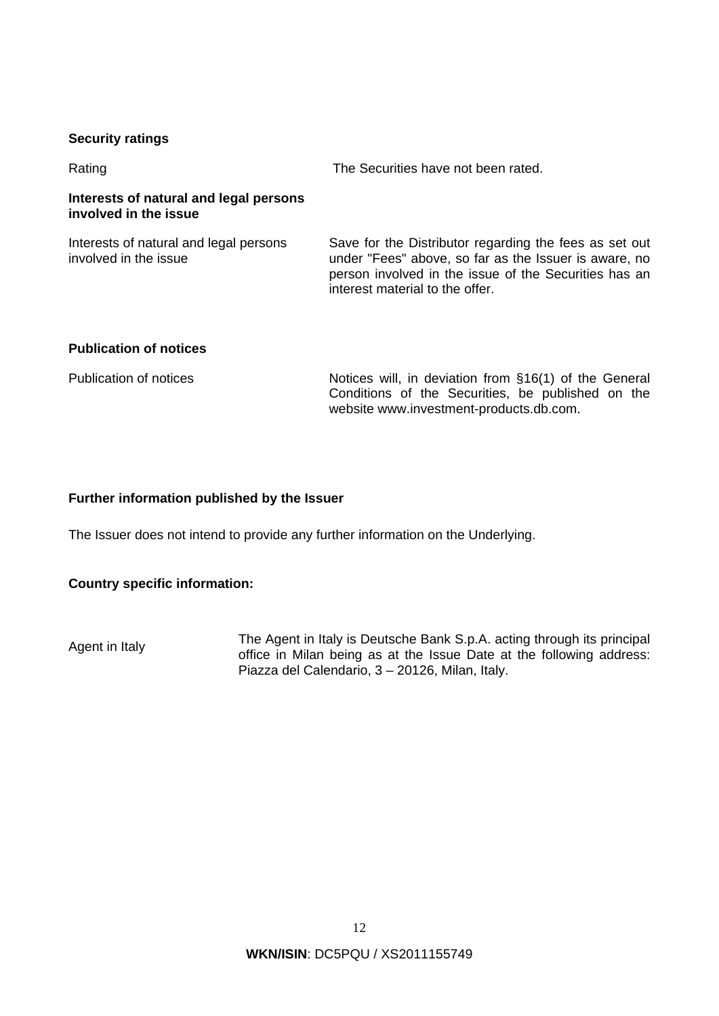## **Security ratings**

Rating The Securities have not been rated.

## **Interests of natural and legal persons involved in the issue**

Interests of natural and legal persons involved in the issue

Save for the Distributor regarding the fees as set out under "Fees" above, so far as the Issuer is aware, no person involved in the issue of the Securities has an interest material to the offer.

# **Publication of notices**

| Publication of notices | Notices will, in deviation from §16(1) of the General |
|------------------------|-------------------------------------------------------|
|                        | Conditions of the Securities, be published on the     |
|                        | website www.investment-products.db.com.               |

## **Further information published by the Issuer**

The Issuer does not intend to provide any further information on the Underlying.

# **Country specific information:**

Agent in Italy The Agent in Italy is Deutsche Bank S.p.A. acting through its principal<br>Agent in Italy is the Agent in Italy is principal and the following address office in Milan being as at the Issue Date at the following address: Piazza del Calendario, 3 – 20126, Milan, Italy.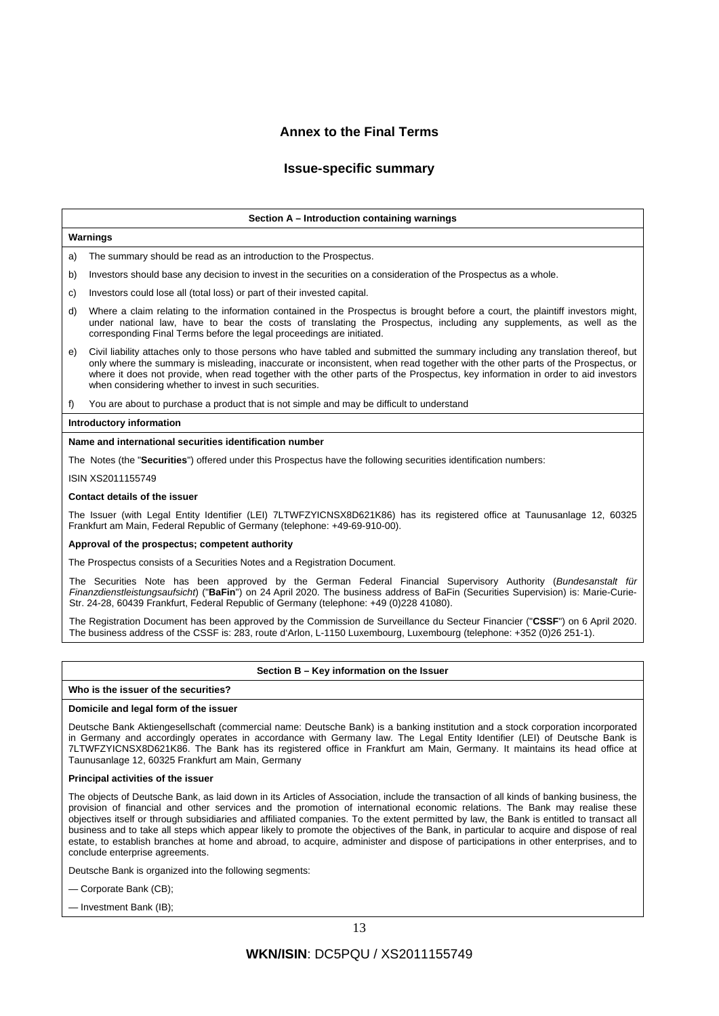## **Annex to the Final Terms**

### **Issue-specific summary**

## **Section A – Introduction containing warnings Warnings** The summary should be read as an introduction to the Prospectus. b) Investors should base any decision to invest in the securities on a consideration of the Prospectus as a whole. c) Investors could lose all (total loss) or part of their invested capital. d) Where a claim relating to the information contained in the Prospectus is brought before a court, the plaintiff investors might, under national law, have to bear the costs of translating the Prospectus, including any supplements, as well as the corresponding Final Terms before the legal proceedings are initiated. e) Civil liability attaches only to those persons who have tabled and submitted the summary including any translation thereof, but only where the summary is misleading, inaccurate or inconsistent, when read together with the other parts of the Prospectus, or where it does not provide, when read together with the other parts of the Prospectus, key information in order to aid investors when considering whether to invest in such securities.

f) You are about to purchase a product that is not simple and may be difficult to understand

### **Introductory information**

### **Name and international securities identification number**

The Notes (the "**Securities**") offered under this Prospectus have the following securities identification numbers:

#### ISIN XS2011155749

#### **Contact details of the issuer**

The Issuer (with Legal Entity Identifier (LEI) 7LTWFZYICNSX8D621K86) has its registered office at Taunusanlage 12, 60325 Frankfurt am Main, Federal Republic of Germany (telephone: +49-69-910-00).

### **Approval of the prospectus; competent authority**

The Prospectus consists of a Securities Notes and a Registration Document.

The Securities Note has been approved by the German Federal Financial Supervisory Authority (*Bundesanstalt für Finanzdienstleistungsaufsicht*) ("**BaFin**") on 24 April 2020. The business address of BaFin (Securities Supervision) is: Marie-Curie-Str. 24-28, 60439 Frankfurt, Federal Republic of Germany (telephone: +49 (0)228 41080).

The Registration Document has been approved by the Commission de Surveillance du Secteur Financier ("**CSSF**") on 6 April 2020. The business address of the CSSF is: 283, route d'Arlon, L-1150 Luxembourg, Luxembourg (telephone: +352 (0)26 251-1).

### **Section B – Key information on the Issuer**

#### **Who is the issuer of the securities?**

#### **Domicile and legal form of the issuer**

Deutsche Bank Aktiengesellschaft (commercial name: Deutsche Bank) is a banking institution and a stock corporation incorporated in Germany and accordingly operates in accordance with Germany law. The Legal Entity Identifier (LEI) of Deutsche Bank is 7LTWFZYICNSX8D621K86. The Bank has its registered office in Frankfurt am Main, Germany. It maintains its head office at Taunusanlage 12, 60325 Frankfurt am Main, Germany

### **Principal activities of the issuer**

The objects of Deutsche Bank, as laid down in its Articles of Association, include the transaction of all kinds of banking business, the provision of financial and other services and the promotion of international economic relations. The Bank may realise these objectives itself or through subsidiaries and affiliated companies. To the extent permitted by law, the Bank is entitled to transact all business and to take all steps which appear likely to promote the objectives of the Bank, in particular to acquire and dispose of real estate, to establish branches at home and abroad, to acquire, administer and dispose of participations in other enterprises, and to conclude enterprise agreements.

Deutsche Bank is organized into the following segments:

— Corporate Bank (CB);

— Investment Bank (IB);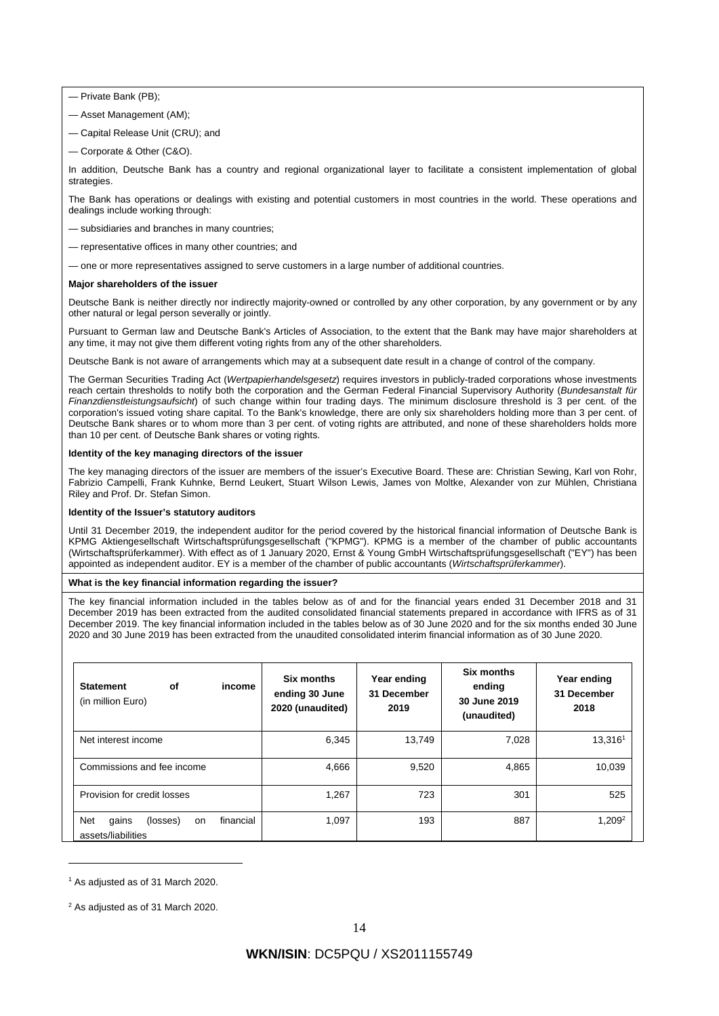— Private Bank (PB);

- Asset Management (AM);
- Capital Release Unit (CRU); and
- Corporate & Other (C&O).

In addition, Deutsche Bank has a country and regional organizational layer to facilitate a consistent implementation of global strategies

The Bank has operations or dealings with existing and potential customers in most countries in the world. These operations and dealings include working through:

- subsidiaries and branches in many countries;
- representative offices in many other countries; and
- one or more representatives assigned to serve customers in a large number of additional countries.

#### **Major shareholders of the issuer**

Deutsche Bank is neither directly nor indirectly majority-owned or controlled by any other corporation, by any government or by any other natural or legal person severally or jointly.

Pursuant to German law and Deutsche Bank's Articles of Association, to the extent that the Bank may have major shareholders at any time, it may not give them different voting rights from any of the other shareholders.

Deutsche Bank is not aware of arrangements which may at a subsequent date result in a change of control of the company.

The German Securities Trading Act (*Wertpapierhandelsgesetz*) requires investors in publicly-traded corporations whose investments reach certain thresholds to notify both the corporation and the German Federal Financial Supervisory Authority (*Bundesanstalt für Finanzdienstleistungsaufsicht*) of such change within four trading days. The minimum disclosure threshold is 3 per cent. of the corporation's issued voting share capital. To the Bank's knowledge, there are only six shareholders holding more than 3 per cent. of Deutsche Bank shares or to whom more than 3 per cent. of voting rights are attributed, and none of these shareholders holds more than 10 per cent. of Deutsche Bank shares or voting rights.

### **Identity of the key managing directors of the issuer**

The key managing directors of the issuer are members of the issuer's Executive Board. These are: Christian Sewing, Karl von Rohr, Fabrizio Campelli, Frank Kuhnke, Bernd Leukert, Stuart Wilson Lewis, James von Moltke, Alexander von zur Mühlen, Christiana Riley and Prof. Dr. Stefan Simon.

### **Identity of the Issuer's statutory auditors**

Until 31 December 2019, the independent auditor for the period covered by the historical financial information of Deutsche Bank is KPMG Aktiengesellschaft Wirtschaftsprüfungsgesellschaft ("KPMG"). KPMG is a member of the chamber of public accountants (Wirtschaftsprüferkammer). With effect as of 1 January 2020, Ernst & Young GmbH Wirtschaftsprüfungsgesellschaft ("EY") has been appointed as independent auditor. EY is a member of the chamber of public accountants (*Wirtschaftsprüferkammer*).

#### **What is the key financial information regarding the issuer?**

The key financial information included in the tables below as of and for the financial years ended 31 December 2018 and 31 December 2019 has been extracted from the audited consolidated financial statements prepared in accordance with IFRS as of 31 December 2019. The key financial information included in the tables below as of 30 June 2020 and for the six months ended 30 June 2020 and 30 June 2019 has been extracted from the unaudited consolidated interim financial information as of 30 June 2020.

| <b>of</b><br><b>Statement</b><br>income<br>(in million Euro)              | Six months<br>ending 30 June<br>2020 (unaudited) | Year ending<br>31 December<br>2019 | Six months<br>ending<br>30 June 2019<br>(unaudited) | Year ending<br>31 December<br>2018 |
|---------------------------------------------------------------------------|--------------------------------------------------|------------------------------------|-----------------------------------------------------|------------------------------------|
| Net interest income                                                       | 6,345                                            | 13,749                             | 7,028                                               | 13,3161                            |
| Commissions and fee income                                                | 4,666                                            | 9,520                              | 4,865                                               | 10,039                             |
| Provision for credit losses                                               | 1,267                                            | 723                                | 301                                                 | 525                                |
| <b>Net</b><br>financial<br>gains<br>(losses)<br>on.<br>assets/liabilities | 1,097                                            | 193                                | 887                                                 | $1,209^2$                          |

<sup>&</sup>lt;sup>1</sup> As adjusted as of 31 March 2020.

 $2$  As adjusted as of 31 March 2020.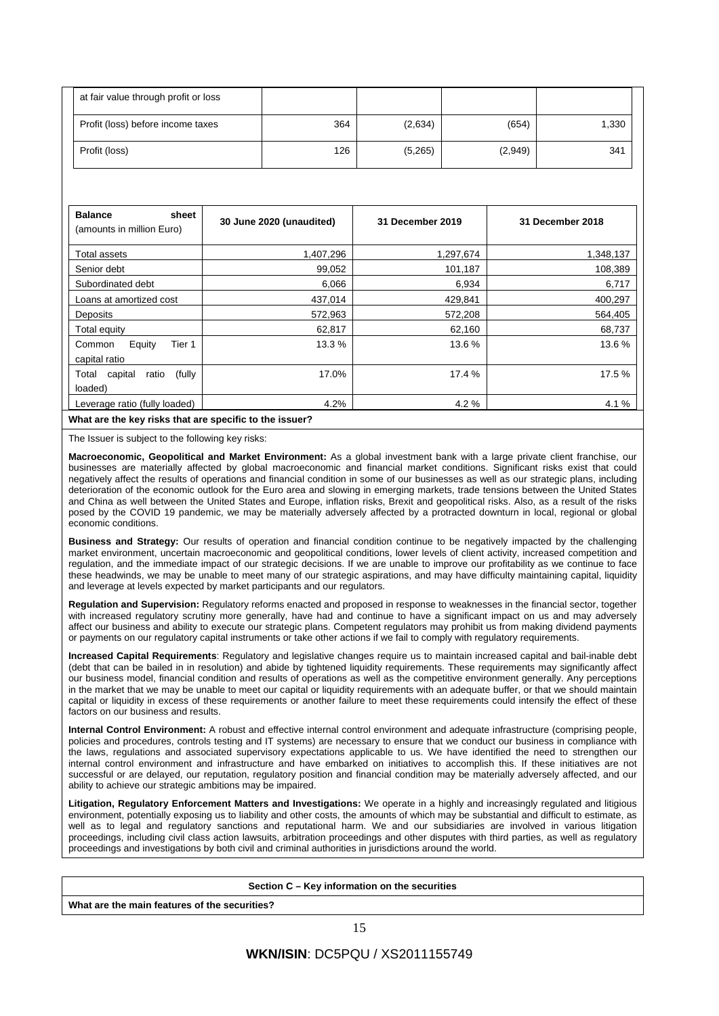| at fair value through profit or loss |     |         |         |       |
|--------------------------------------|-----|---------|---------|-------|
| Profit (loss) before income taxes    | 364 | (2,634) | (654)   | 1,330 |
| Profit (loss)                        | 126 | (5,265) | (2,949) | 341   |

| <b>Balance</b><br>sheet<br>(amounts in million Euro)    | 30 June 2020 (unaudited) | 31 December 2019 | 31 December 2018 |
|---------------------------------------------------------|--------------------------|------------------|------------------|
| Total assets                                            | 1,407,296                | 1,297,674        | 1,348,137        |
| Senior debt                                             | 99,052                   | 101,187          | 108,389          |
| Subordinated debt                                       | 6,066                    | 6,934            | 6,717            |
| Loans at amortized cost                                 | 437,014                  | 429,841          | 400,297          |
| Deposits                                                | 572,963                  | 572,208          | 564,405          |
| Total equity                                            | 62,817                   | 62,160           | 68,737           |
| Tier 1<br>Equity<br>Common<br>capital ratio             | 13.3 %                   | 13.6%            | 13.6%            |
| (fully<br>capital<br>ratio<br>Total<br>loaded)          | 17.0%                    | 17.4 %           | 17.5 %           |
| Leverage ratio (fully loaded)                           | 4.2%                     | 4.2 %            | 4.1 %            |
| What are the key risks that are specific to the issuer? |                          |                  |                  |

The Issuer is subject to the following key risks:

**Macroeconomic, Geopolitical and Market Environment:** As a global investment bank with a large private client franchise, our businesses are materially affected by global macroeconomic and financial market conditions. Significant risks exist that could negatively affect the results of operations and financial condition in some of our businesses as well as our strategic plans, including deterioration of the economic outlook for the Euro area and slowing in emerging markets, trade tensions between the United States and China as well between the United States and Europe, inflation risks, Brexit and geopolitical risks. Also, as a result of the risks posed by the COVID 19 pandemic, we may be materially adversely affected by a protracted downturn in local, regional or global economic conditions.

**Business and Strategy:** Our results of operation and financial condition continue to be negatively impacted by the challenging market environment, uncertain macroeconomic and geopolitical conditions, lower levels of client activity, increased competition and regulation, and the immediate impact of our strategic decisions. If we are unable to improve our profitability as we continue to face these headwinds, we may be unable to meet many of our strategic aspirations, and may have difficulty maintaining capital, liquidity and leverage at levels expected by market participants and our regulators.

**Regulation and Supervision:** Regulatory reforms enacted and proposed in response to weaknesses in the financial sector, together with increased regulatory scrutiny more generally, have had and continue to have a significant impact on us and may adversely affect our business and ability to execute our strategic plans. Competent regulators may prohibit us from making dividend payments or payments on our regulatory capital instruments or take other actions if we fail to comply with regulatory requirements.

**Increased Capital Requirements**: Regulatory and legislative changes require us to maintain increased capital and bail-inable debt (debt that can be bailed in in resolution) and abide by tightened liquidity requirements. These requirements may significantly affect our business model, financial condition and results of operations as well as the competitive environment generally. Any perceptions in the market that we may be unable to meet our capital or liquidity requirements with an adequate buffer, or that we should maintain capital or liquidity in excess of these requirements or another failure to meet these requirements could intensify the effect of these factors on our business and results.

**Internal Control Environment:** A robust and effective internal control environment and adequate infrastructure (comprising people, policies and procedures, controls testing and IT systems) are necessary to ensure that we conduct our business in compliance with the laws, regulations and associated supervisory expectations applicable to us. We have identified the need to strengthen our internal control environment and infrastructure and have embarked on initiatives to accomplish this. If these initiatives are not successful or are delayed, our reputation, regulatory position and financial condition may be materially adversely affected, and our ability to achieve our strategic ambitions may be impaired.

**Litigation, Regulatory Enforcement Matters and Investigations:** We operate in a highly and increasingly regulated and litigious environment, potentially exposing us to liability and other costs, the amounts of which may be substantial and difficult to estimate, as well as to legal and regulatory sanctions and reputational harm. We and our subsidiaries are involved in various litigation proceedings, including civil class action lawsuits, arbitration proceedings and other disputes with third parties, as well as regulatory proceedings and investigations by both civil and criminal authorities in jurisdictions around the world.

| Section C – Key information on the securities |  |  |  |
|-----------------------------------------------|--|--|--|
| What are the main features of the securities? |  |  |  |
|                                               |  |  |  |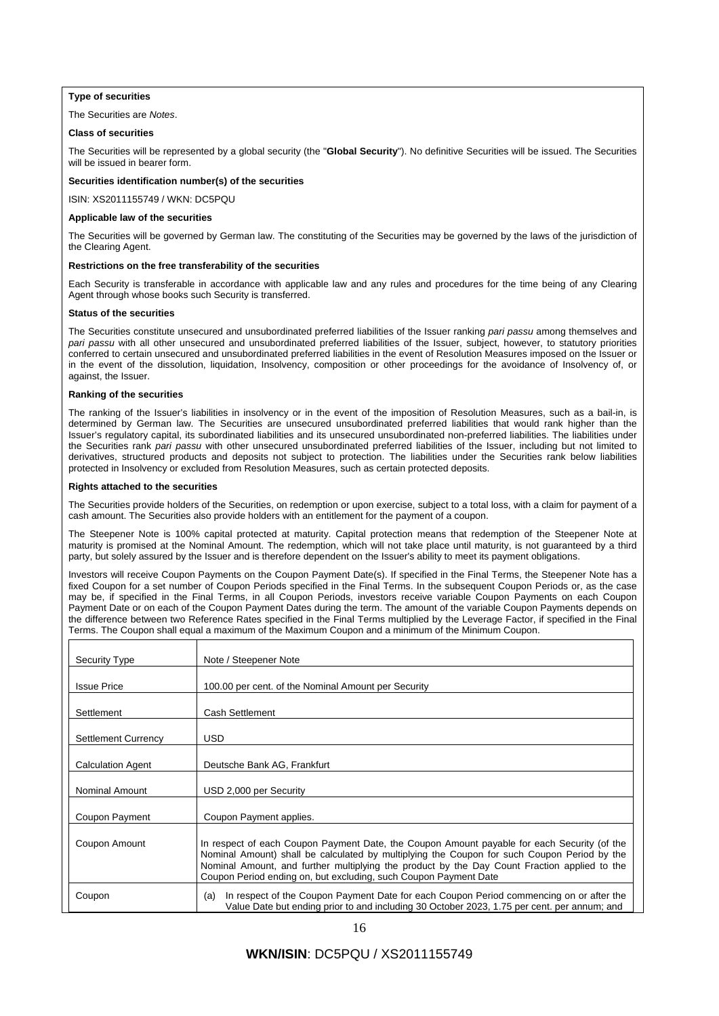### **Type of securities**

### The Securities are *Notes*.

### **Class of securities**

The Securities will be represented by a global security (the "**Global Security**"). No definitive Securities will be issued. The Securities will be issued in bearer form.

### **Securities identification number(s) of the securities**

ISIN: XS2011155749 / WKN: DC5PQU

### **Applicable law of the securities**

The Securities will be governed by German law. The constituting of the Securities may be governed by the laws of the jurisdiction of the Clearing Agent.

### **Restrictions on the free transferability of the securities**

Each Security is transferable in accordance with applicable law and any rules and procedures for the time being of any Clearing Agent through whose books such Security is transferred.

#### **Status of the securities**

The Securities constitute unsecured and unsubordinated preferred liabilities of the Issuer ranking *pari passu* among themselves and *pari passu* with all other unsecured and unsubordinated preferred liabilities of the Issuer, subject, however, to statutory priorities conferred to certain unsecured and unsubordinated preferred liabilities in the event of Resolution Measures imposed on the Issuer or in the event of the dissolution, liquidation, Insolvency, composition or other proceedings for the avoidance of Insolvency of, or against, the Issuer.

#### **Ranking of the securities**

The ranking of the Issuer's liabilities in insolvency or in the event of the imposition of Resolution Measures, such as a bail-in, is determined by German law. The Securities are unsecured unsubordinated preferred liabilities that would rank higher than the Issuer's regulatory capital, its subordinated liabilities and its unsecured unsubordinated non-preferred liabilities. The liabilities under the Securities rank *pari passu* with other unsecured unsubordinated preferred liabilities of the Issuer, including but not limited to derivatives, structured products and deposits not subject to protection. The liabilities under the Securities rank below liabilities protected in Insolvency or excluded from Resolution Measures, such as certain protected deposits.

#### **Rights attached to the securities**

The Securities provide holders of the Securities, on redemption or upon exercise, subject to a total loss, with a claim for payment of a cash amount. The Securities also provide holders with an entitlement for the payment of a coupon.

The Steepener Note is 100% capital protected at maturity. Capital protection means that redemption of the Steepener Note at maturity is promised at the Nominal Amount. The redemption, which will not take place until maturity, is not guaranteed by a third party, but solely assured by the Issuer and is therefore dependent on the Issuer's ability to meet its payment obligations.

Investors will receive Coupon Payments on the Coupon Payment Date(s). If specified in the Final Terms, the Steepener Note has a fixed Coupon for a set number of Coupon Periods specified in the Final Terms. In the subsequent Coupon Periods or, as the case may be, if specified in the Final Terms, in all Coupon Periods, investors receive variable Coupon Payments on each Coupon Payment Date or on each of the Coupon Payment Dates during the term. The amount of the variable Coupon Payments depends on the difference between two Reference Rates specified in the Final Terms multiplied by the Leverage Factor, if specified in the Final Terms. The Coupon shall equal a maximum of the Maximum Coupon and a minimum of the Minimum Coupon.

| <b>Security Type</b>       | Note / Steepener Note                                                                                                                                                                                                                                                                                                                                          |
|----------------------------|----------------------------------------------------------------------------------------------------------------------------------------------------------------------------------------------------------------------------------------------------------------------------------------------------------------------------------------------------------------|
| <b>Issue Price</b>         | 100.00 per cent. of the Nominal Amount per Security                                                                                                                                                                                                                                                                                                            |
| Settlement                 | Cash Settlement                                                                                                                                                                                                                                                                                                                                                |
| <b>Settlement Currency</b> | <b>USD</b>                                                                                                                                                                                                                                                                                                                                                     |
| <b>Calculation Agent</b>   | Deutsche Bank AG, Frankfurt                                                                                                                                                                                                                                                                                                                                    |
| <b>Nominal Amount</b>      | USD 2,000 per Security                                                                                                                                                                                                                                                                                                                                         |
| Coupon Payment             | Coupon Payment applies.                                                                                                                                                                                                                                                                                                                                        |
| Coupon Amount              | In respect of each Coupon Payment Date, the Coupon Amount payable for each Security (of the<br>Nominal Amount) shall be calculated by multiplying the Coupon for such Coupon Period by the<br>Nominal Amount, and further multiplying the product by the Day Count Fraction applied to the<br>Coupon Period ending on, but excluding, such Coupon Payment Date |
| Coupon                     | In respect of the Coupon Payment Date for each Coupon Period commencing on or after the<br>(a)<br>Value Date but ending prior to and including 30 October 2023, 1.75 per cent. per annum; and                                                                                                                                                                  |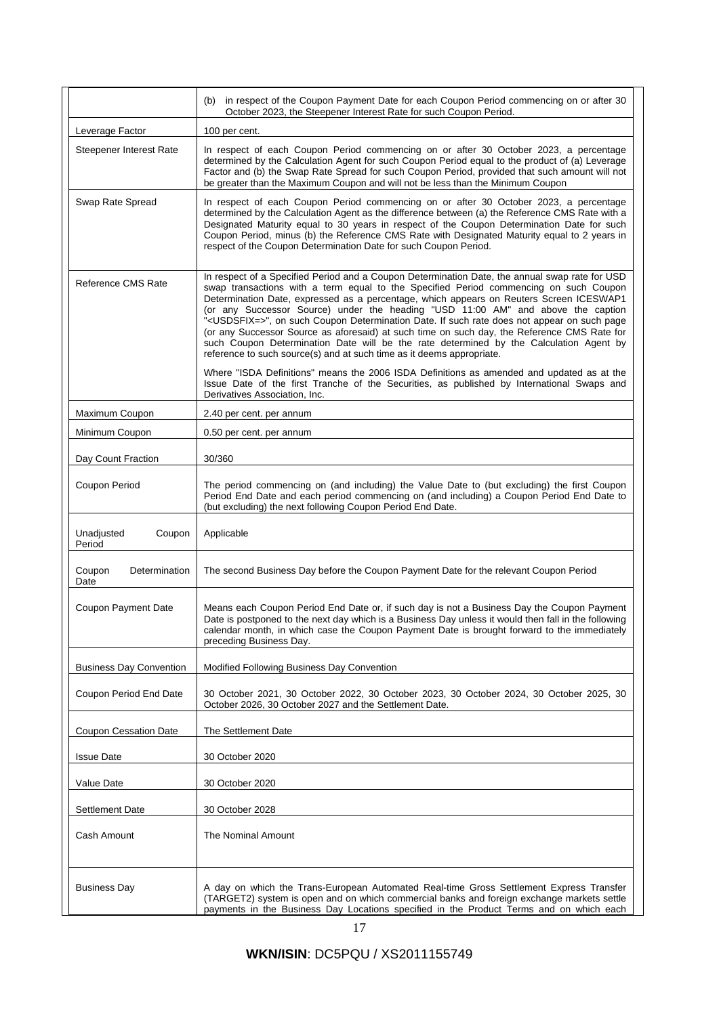|                                 | (b) in respect of the Coupon Payment Date for each Coupon Period commencing on or after 30<br>October 2023, the Steepener Interest Rate for such Coupon Period.                                                                                                                                                                                                                                                                                                                                                                                                                                                                                                                                                                                       |  |  |  |
|---------------------------------|-------------------------------------------------------------------------------------------------------------------------------------------------------------------------------------------------------------------------------------------------------------------------------------------------------------------------------------------------------------------------------------------------------------------------------------------------------------------------------------------------------------------------------------------------------------------------------------------------------------------------------------------------------------------------------------------------------------------------------------------------------|--|--|--|
| Leverage Factor                 | 100 per cent.                                                                                                                                                                                                                                                                                                                                                                                                                                                                                                                                                                                                                                                                                                                                         |  |  |  |
| Steepener Interest Rate         | In respect of each Coupon Period commencing on or after 30 October 2023, a percentage<br>determined by the Calculation Agent for such Coupon Period equal to the product of (a) Leverage<br>Factor and (b) the Swap Rate Spread for such Coupon Period, provided that such amount will not<br>be greater than the Maximum Coupon and will not be less than the Minimum Coupon                                                                                                                                                                                                                                                                                                                                                                         |  |  |  |
| Swap Rate Spread                | In respect of each Coupon Period commencing on or after 30 October 2023, a percentage<br>determined by the Calculation Agent as the difference between (a) the Reference CMS Rate with a<br>Designated Maturity equal to 30 years in respect of the Coupon Determination Date for such<br>Coupon Period, minus (b) the Reference CMS Rate with Designated Maturity equal to 2 years in<br>respect of the Coupon Determination Date for such Coupon Period.                                                                                                                                                                                                                                                                                            |  |  |  |
| Reference CMS Rate              | In respect of a Specified Period and a Coupon Determination Date, the annual swap rate for USD<br>swap transactions with a term equal to the Specified Period commencing on such Coupon<br>Determination Date, expressed as a percentage, which appears on Reuters Screen ICESWAP1<br>(or any Successor Source) under the heading "USD 11:00 AM" and above the caption<br>" <usdsfix=>", on such Coupon Determination Date. If such rate does not appear on such page<br/>(or any Successor Source as aforesaid) at such time on such day, the Reference CMS Rate for<br/>such Coupon Determination Date will be the rate determined by the Calculation Agent by<br/>reference to such source(s) and at such time as it deems appropriate.</usdsfix=> |  |  |  |
|                                 | Where "ISDA Definitions" means the 2006 ISDA Definitions as amended and updated as at the<br>Issue Date of the first Tranche of the Securities, as published by International Swaps and<br>Derivatives Association, Inc.                                                                                                                                                                                                                                                                                                                                                                                                                                                                                                                              |  |  |  |
| Maximum Coupon                  | 2.40 per cent. per annum                                                                                                                                                                                                                                                                                                                                                                                                                                                                                                                                                                                                                                                                                                                              |  |  |  |
| Minimum Coupon                  | 0.50 per cent. per annum                                                                                                                                                                                                                                                                                                                                                                                                                                                                                                                                                                                                                                                                                                                              |  |  |  |
| Day Count Fraction              | 30/360                                                                                                                                                                                                                                                                                                                                                                                                                                                                                                                                                                                                                                                                                                                                                |  |  |  |
| Coupon Period                   | The period commencing on (and including) the Value Date to (but excluding) the first Coupon<br>Period End Date and each period commencing on (and including) a Coupon Period End Date to<br>(but excluding) the next following Coupon Period End Date.                                                                                                                                                                                                                                                                                                                                                                                                                                                                                                |  |  |  |
| Unadjusted<br>Coupon<br>Period  | Applicable                                                                                                                                                                                                                                                                                                                                                                                                                                                                                                                                                                                                                                                                                                                                            |  |  |  |
| Coupon<br>Determination<br>Date | The second Business Day before the Coupon Payment Date for the relevant Coupon Period                                                                                                                                                                                                                                                                                                                                                                                                                                                                                                                                                                                                                                                                 |  |  |  |
| Coupon Payment Date             | Means each Coupon Period End Date or, if such day is not a Business Day the Coupon Payment<br>Date is postponed to the next day which is a Business Day unless it would then fall in the following<br>calendar month, in which case the Coupon Payment Date is brought forward to the immediately<br>preceding Business Day.                                                                                                                                                                                                                                                                                                                                                                                                                          |  |  |  |
| <b>Business Day Convention</b>  | Modified Following Business Day Convention                                                                                                                                                                                                                                                                                                                                                                                                                                                                                                                                                                                                                                                                                                            |  |  |  |
| Coupon Period End Date          | 30 October 2021, 30 October 2022, 30 October 2023, 30 October 2024, 30 October 2025, 30<br>October 2026, 30 October 2027 and the Settlement Date.                                                                                                                                                                                                                                                                                                                                                                                                                                                                                                                                                                                                     |  |  |  |
| <b>Coupon Cessation Date</b>    | The Settlement Date                                                                                                                                                                                                                                                                                                                                                                                                                                                                                                                                                                                                                                                                                                                                   |  |  |  |
| <b>Issue Date</b>               | 30 October 2020                                                                                                                                                                                                                                                                                                                                                                                                                                                                                                                                                                                                                                                                                                                                       |  |  |  |
| Value Date                      | 30 October 2020                                                                                                                                                                                                                                                                                                                                                                                                                                                                                                                                                                                                                                                                                                                                       |  |  |  |
| <b>Settlement Date</b>          | 30 October 2028                                                                                                                                                                                                                                                                                                                                                                                                                                                                                                                                                                                                                                                                                                                                       |  |  |  |
| Cash Amount                     | The Nominal Amount                                                                                                                                                                                                                                                                                                                                                                                                                                                                                                                                                                                                                                                                                                                                    |  |  |  |
| <b>Business Day</b>             | A day on which the Trans-European Automated Real-time Gross Settlement Express Transfer<br>(TARGET2) system is open and on which commercial banks and foreign exchange markets settle<br>payments in the Business Day Locations specified in the Product Terms and on which each                                                                                                                                                                                                                                                                                                                                                                                                                                                                      |  |  |  |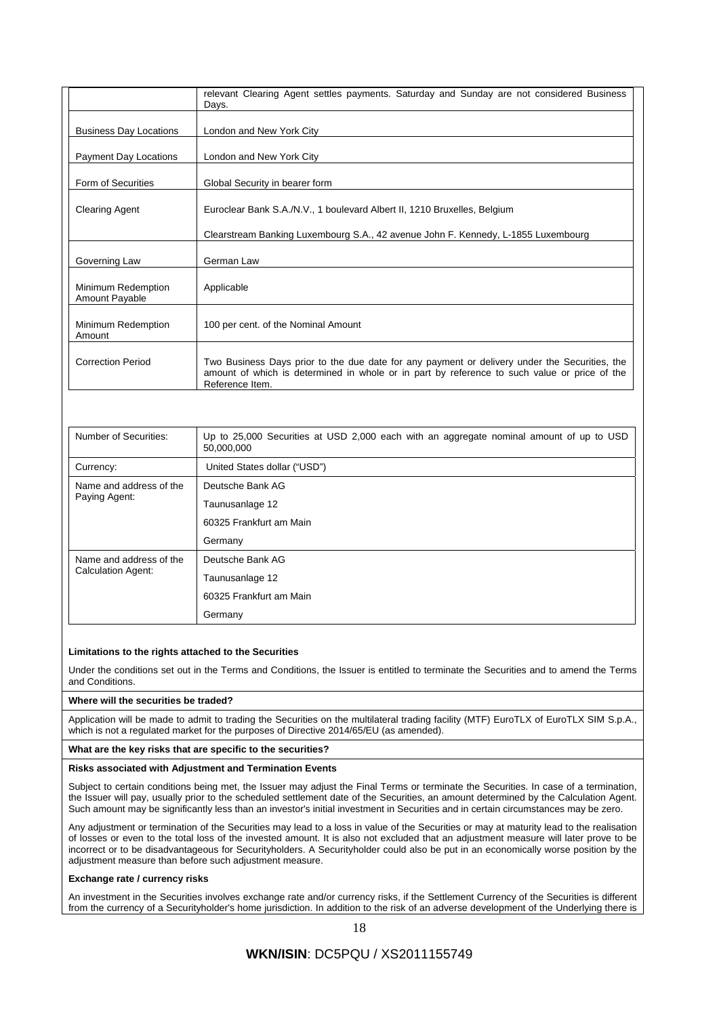|                                      | relevant Clearing Agent settles payments. Saturday and Sunday are not considered Business<br>Days.                                                                                                               |
|--------------------------------------|------------------------------------------------------------------------------------------------------------------------------------------------------------------------------------------------------------------|
| <b>Business Day Locations</b>        | London and New York City                                                                                                                                                                                         |
| Payment Day Locations                | London and New York City                                                                                                                                                                                         |
| Form of Securities                   | Global Security in bearer form                                                                                                                                                                                   |
| <b>Clearing Agent</b>                | Euroclear Bank S.A./N.V., 1 boulevard Albert II, 1210 Bruxelles, Belgium                                                                                                                                         |
|                                      | Clearstream Banking Luxembourg S.A., 42 avenue John F. Kennedy, L-1855 Luxembourg                                                                                                                                |
| Governing Law                        | German Law                                                                                                                                                                                                       |
| Minimum Redemption<br>Amount Payable | Applicable                                                                                                                                                                                                       |
| Minimum Redemption<br>Amount         | 100 per cent. of the Nominal Amount                                                                                                                                                                              |
| <b>Correction Period</b>             | Two Business Days prior to the due date for any payment or delivery under the Securities, the<br>amount of which is determined in whole or in part by reference to such value or price of the<br>Reference Item. |

| Number of Securities:                         | Up to 25,000 Securities at USD 2,000 each with an aggregate nominal amount of up to USD<br>50.000.000 |
|-----------------------------------------------|-------------------------------------------------------------------------------------------------------|
| Currency:                                     | United States dollar ("USD")                                                                          |
| Name and address of the<br>Paying Agent:      | Deutsche Bank AG                                                                                      |
|                                               | Taunusanlage 12                                                                                       |
|                                               | 60325 Frankfurt am Main                                                                               |
|                                               | Germany                                                                                               |
| Name and address of the<br>Calculation Agent: | Deutsche Bank AG                                                                                      |
|                                               | Taunusanlage 12                                                                                       |
|                                               | 60325 Frankfurt am Main                                                                               |
|                                               | Germany                                                                                               |

### **Limitations to the rights attached to the Securities**

Under the conditions set out in the Terms and Conditions, the Issuer is entitled to terminate the Securities and to amend the Terms and Conditions.

#### **Where will the securities be traded?**

Application will be made to admit to trading the Securities on the multilateral trading facility (MTF) EuroTLX of EuroTLX SIM S.p.A., which is not a regulated market for the purposes of Directive 2014/65/EU (as amended).

### **What are the key risks that are specific to the securities?**

### **Risks associated with Adjustment and Termination Events**

Subject to certain conditions being met, the Issuer may adjust the Final Terms or terminate the Securities. In case of a termination, the Issuer will pay, usually prior to the scheduled settlement date of the Securities, an amount determined by the Calculation Agent. Such amount may be significantly less than an investor's initial investment in Securities and in certain circumstances may be zero.

Any adjustment or termination of the Securities may lead to a loss in value of the Securities or may at maturity lead to the realisation of losses or even to the total loss of the invested amount. It is also not excluded that an adjustment measure will later prove to be incorrect or to be disadvantageous for Securityholders. A Securityholder could also be put in an economically worse position by the adjustment measure than before such adjustment measure.

### **Exchange rate / currency risks**

An investment in the Securities involves exchange rate and/or currency risks, if the Settlement Currency of the Securities is different from the currency of a Securityholder's home jurisdiction. In addition to the risk of an adverse development of the Underlying there is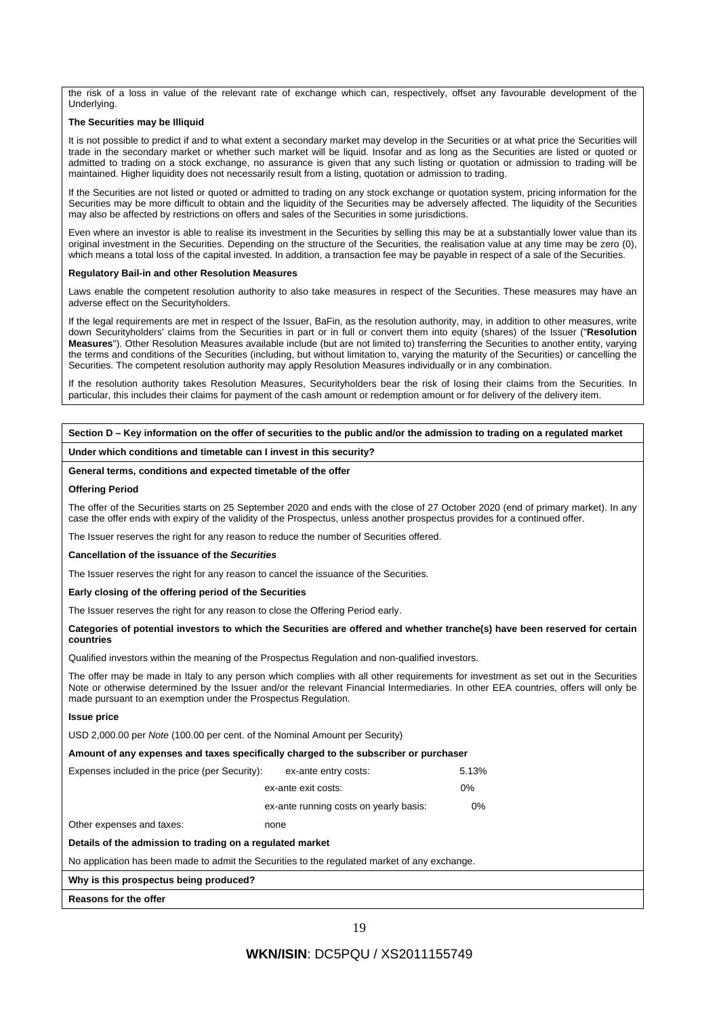the risk of a loss in value of the relevant rate of exchange which can, respectively, offset any favourable development of the Underlying.

#### **The Securities may be Illiquid**

It is not possible to predict if and to what extent a secondary market may develop in the Securities or at what price the Securities will trade in the secondary market or whether such market will be liquid. Insofar and as long as the Securities are listed or quoted or admitted to trading on a stock exchange, no assurance is given that any such listing or quotation or admission to trading will be maintained. Higher liquidity does not necessarily result from a listing, quotation or admission to trading.

If the Securities are not listed or quoted or admitted to trading on any stock exchange or quotation system, pricing information for the Securities may be more difficult to obtain and the liquidity of the Securities may be adversely affected. The liquidity of the Securities may also be affected by restrictions on offers and sales of the Securities in some jurisdictions.

Even where an investor is able to realise its investment in the Securities by selling this may be at a substantially lower value than its original investment in the Securities. Depending on the structure of the Securities, the realisation value at any time may be zero (0), which means a total loss of the capital invested. In addition, a transaction fee may be payable in respect of a sale of the Securities.

#### **Regulatory Bail-in and other Resolution Measures**

Laws enable the competent resolution authority to also take measures in respect of the Securities. These measures may have an adverse effect on the Securityholders.

If the legal requirements are met in respect of the Issuer, BaFin, as the resolution authority, may, in addition to other measures, write down Securityholders' claims from the Securities in part or in full or convert them into equity (shares) of the Issuer ("**Resolution Measures**"). Other Resolution Measures available include (but are not limited to) transferring the Securities to another entity, varying the terms and conditions of the Securities (including, but without limitation to, varying the maturity of the Securities) or cancelling the Securities. The competent resolution authority may apply Resolution Measures individually or in any combination.

If the resolution authority takes Resolution Measures, Securityholders bear the risk of losing their claims from the Securities. In particular, this includes their claims for payment of the cash amount or redemption amount or for delivery of the delivery item.

#### **Section D – Key information on the offer of securities to the public and/or the admission to trading on a regulated market**

#### **Under which conditions and timetable can I invest in this security?**

#### **General terms, conditions and expected timetable of the offer**

#### **Offering Period**

The offer of the Securities starts on 25 September 2020 and ends with the close of 27 October 2020 (end of primary market). In any case the offer ends with expiry of the validity of the Prospectus, unless another prospectus provides for a continued offer.

The Issuer reserves the right for any reason to reduce the number of Securities offered.

#### **Cancellation of the issuance of the** *Securities*

The Issuer reserves the right for any reason to cancel the issuance of the Securities.

**Early closing of the offering period of the Securities** 

The Issuer reserves the right for any reason to close the Offering Period early.

#### **Categories of potential investors to which the Securities are offered and whether tranche(s) have been reserved for certain countries**

Qualified investors within the meaning of the Prospectus Regulation and non-qualified investors.

The offer may be made in Italy to any person which complies with all other requirements for investment as set out in the Securities Note or otherwise determined by the Issuer and/or the relevant Financial Intermediaries. In other EEA countries, offers will only be made pursuant to an exemption under the Prospectus Regulation.

### **Issue price**

USD 2,000.00 per *Note* (100.00 per cent. of the Nominal Amount per Security)

### **Amount of any expenses and taxes specifically charged to the subscriber or purchaser**

| Expenses included in the price (per Security): | ex-ante entry costs:                   | 5.13% |
|------------------------------------------------|----------------------------------------|-------|
|                                                | ex-ante exit costs:                    | 0%    |
|                                                | ex-ante running costs on yearly basis: | 0%    |
| Other expenses and tayes.                      | none                                   |       |

ther expenses and taxes:

#### **Details of the admission to trading on a regulated market**

No application has been made to admit the Securities to the regulated market of any exchange.

### **Why is this prospectus being produced?**

**Reasons for the offer**